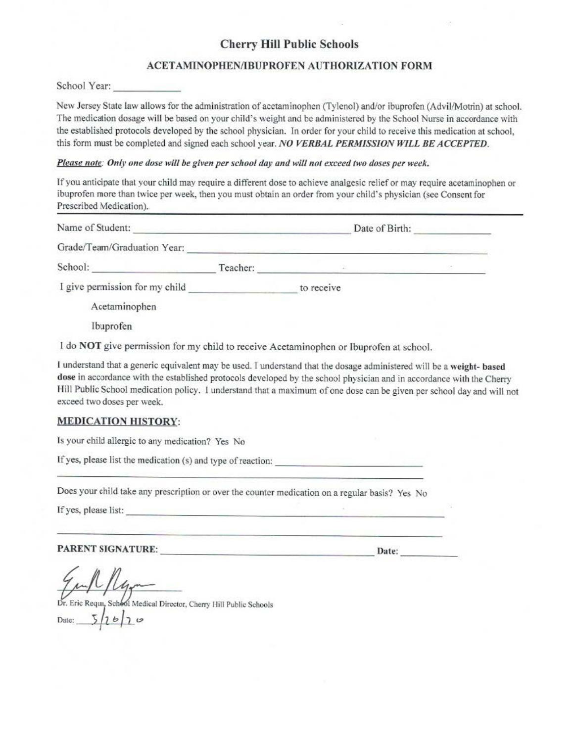## **Cherry Hill Public Schools**

#### **ACETAMINOPHEN/IBUPROFEN AUTHORIZATION FORM**

School Year:  $\Box$ 

New Jersey State law allows for the administration of acetaminophen (Tylenol) and/or ibuprofen (Advil/Motrin) at school. The medication dosage will be based on your child's weight and be administered by the School Nurse in accordance with the established protocols developed by the school physician. In order for your child to receive this medication at school, this form must be completed and signed each school year. *NO VERBAL PERMISSION WILL BE ACCEPTED.* 

#### *Please note: Only one dose will be given per school day and will not exceed two doses per week.*

Tf you anticipate that your child may require a different dose to achieve analgesic relief or may require acetaminophen or ibuprofen more than twice per week, then you must obtain an order from your child's physician (see Consent for Prescribed Medication).

| Name of Student:               | Date of Birth: |            |  |
|--------------------------------|----------------|------------|--|
| Grade/Team/Graduation Year:    |                |            |  |
| School:                        | Teacher:       |            |  |
| I give permission for my child |                | to receive |  |
| Acetaminophen                  |                |            |  |
| Ibuprofen                      |                |            |  |

1 do **NOT** give permission for my child to receive Acetaminophen or Ibuprofen at school.

I understand that a generic equivalent may be used. I understand that the dosage administered will be a weight- based dose in accordance with the established protocols developed by the school physician and in accordance with the Cherry Hill Pub lie School medication policy. I understand that **a** maximum of one dose can be given per school day and will not exceed two doses per week.

### **MEDICATION HJSTORY:**

Is your child allergic to any medication? Yes No

If yes, please list the medication (s) and type of reaction:

Does your child take any prescription or over the counter medication on a regular basis? Yes No

If yes, please list:

**PARENT SIGNATURE: \_ \_\_\_\_ \_\_\_ \_\_\_\_\_\_ \_ \_ \_** Date: \_\_\_ \_ \_

ul /lgr

Dr. Eric Requa, School Medical Director, Cherry Hill Public Schools  $5/16/10$ Date: